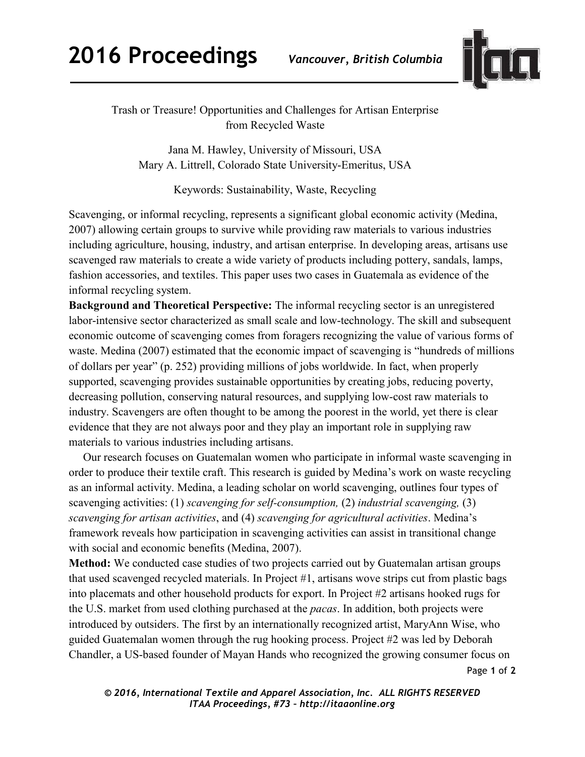

Trash or Treasure! Opportunities and Challenges for Artisan Enterprise from Recycled Waste

Jana M. Hawley, University of Missouri, USA Mary A. Littrell, Colorado State University-Emeritus, USA

Keywords: Sustainability, Waste, Recycling

Scavenging, or informal recycling, represents a significant global economic activity (Medina, 2007) allowing certain groups to survive while providing raw materials to various industries including agriculture, housing, industry, and artisan enterprise. In developing areas, artisans use scavenged raw materials to create a wide variety of products including pottery, sandals, lamps, fashion accessories, and textiles. This paper uses two cases in Guatemala as evidence of the informal recycling system.

**Background and Theoretical Perspective:** The informal recycling sector is an unregistered labor-intensive sector characterized as small scale and low-technology. The skill and subsequent economic outcome of scavenging comes from foragers recognizing the value of various forms of waste. Medina (2007) estimated that the economic impact of scavenging is "hundreds of millions of dollars per year" (p. 252) providing millions of jobs worldwide. In fact, when properly supported, scavenging provides sustainable opportunities by creating jobs, reducing poverty, decreasing pollution, conserving natural resources, and supplying low-cost raw materials to industry. Scavengers are often thought to be among the poorest in the world, yet there is clear evidence that they are not always poor and they play an important role in supplying raw materials to various industries including artisans.

 Our research focuses on Guatemalan women who participate in informal waste scavenging in order to produce their textile craft. This research is guided by Medina's work on waste recycling as an informal activity. Medina, a leading scholar on world scavenging, outlines four types of scavenging activities: (1) *scavenging for self-consumption,* (2) *industrial scavenging,* (3) *scavenging for artisan activities*, and (4) *scavenging for agricultural activities*. Medina's framework reveals how participation in scavenging activities can assist in transitional change with social and economic benefits (Medina, 2007).

Page **1** of **2 Method:** We conducted case studies of two projects carried out by Guatemalan artisan groups that used scavenged recycled materials. In Project #1, artisans wove strips cut from plastic bags into placemats and other household products for export. In Project #2 artisans hooked rugs for the U.S. market from used clothing purchased at the *pacas*. In addition, both projects were introduced by outsiders. The first by an internationally recognized artist, MaryAnn Wise, who guided Guatemalan women through the rug hooking process. Project #2 was led by Deborah Chandler, a US-based founder of Mayan Hands who recognized the growing consumer focus on

*© 2016, International Textile and Apparel Association, Inc. ALL RIGHTS RESERVED ITAA Proceedings, #73 – http://itaaonline.org*